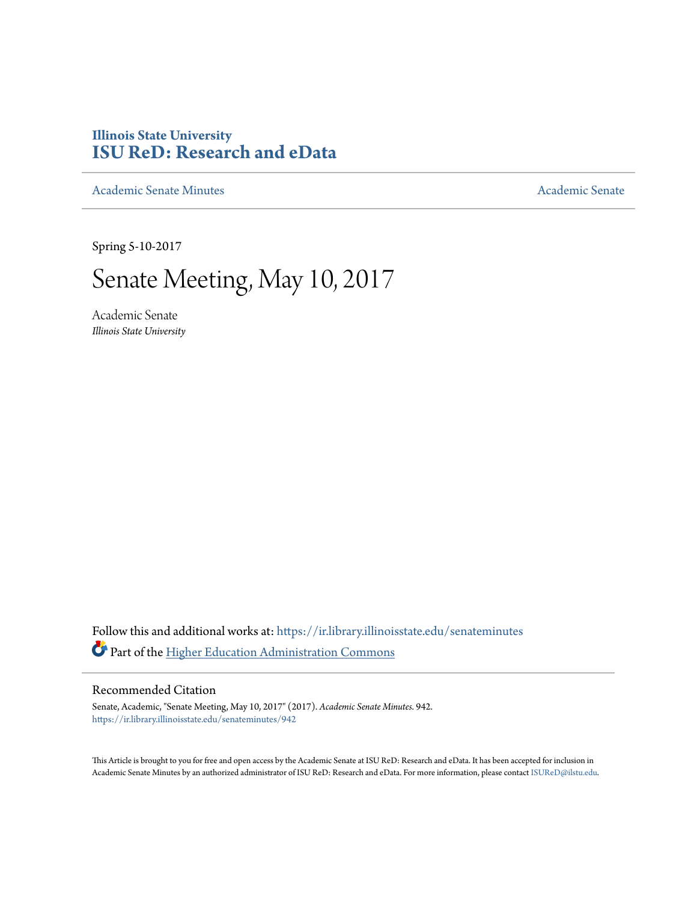## **Illinois State University [ISU ReD: Research and eData](https://ir.library.illinoisstate.edu?utm_source=ir.library.illinoisstate.edu%2Fsenateminutes%2F942&utm_medium=PDF&utm_campaign=PDFCoverPages)**

[Academic Senate Minutes](https://ir.library.illinoisstate.edu/senateminutes?utm_source=ir.library.illinoisstate.edu%2Fsenateminutes%2F942&utm_medium=PDF&utm_campaign=PDFCoverPages) [Academic Senate](https://ir.library.illinoisstate.edu/senate?utm_source=ir.library.illinoisstate.edu%2Fsenateminutes%2F942&utm_medium=PDF&utm_campaign=PDFCoverPages) Academic Senate

Spring 5-10-2017

# Senate Meeting, May 10, 2017

Academic Senate *Illinois State University*

Follow this and additional works at: [https://ir.library.illinoisstate.edu/senateminutes](https://ir.library.illinoisstate.edu/senateminutes?utm_source=ir.library.illinoisstate.edu%2Fsenateminutes%2F942&utm_medium=PDF&utm_campaign=PDFCoverPages) Part of the [Higher Education Administration Commons](http://network.bepress.com/hgg/discipline/791?utm_source=ir.library.illinoisstate.edu%2Fsenateminutes%2F942&utm_medium=PDF&utm_campaign=PDFCoverPages)

#### Recommended Citation

Senate, Academic, "Senate Meeting, May 10, 2017" (2017). *Academic Senate Minutes*. 942. [https://ir.library.illinoisstate.edu/senateminutes/942](https://ir.library.illinoisstate.edu/senateminutes/942?utm_source=ir.library.illinoisstate.edu%2Fsenateminutes%2F942&utm_medium=PDF&utm_campaign=PDFCoverPages)

This Article is brought to you for free and open access by the Academic Senate at ISU ReD: Research and eData. It has been accepted for inclusion in Academic Senate Minutes by an authorized administrator of ISU ReD: Research and eData. For more information, please contact [ISUReD@ilstu.edu.](mailto:ISUReD@ilstu.edu)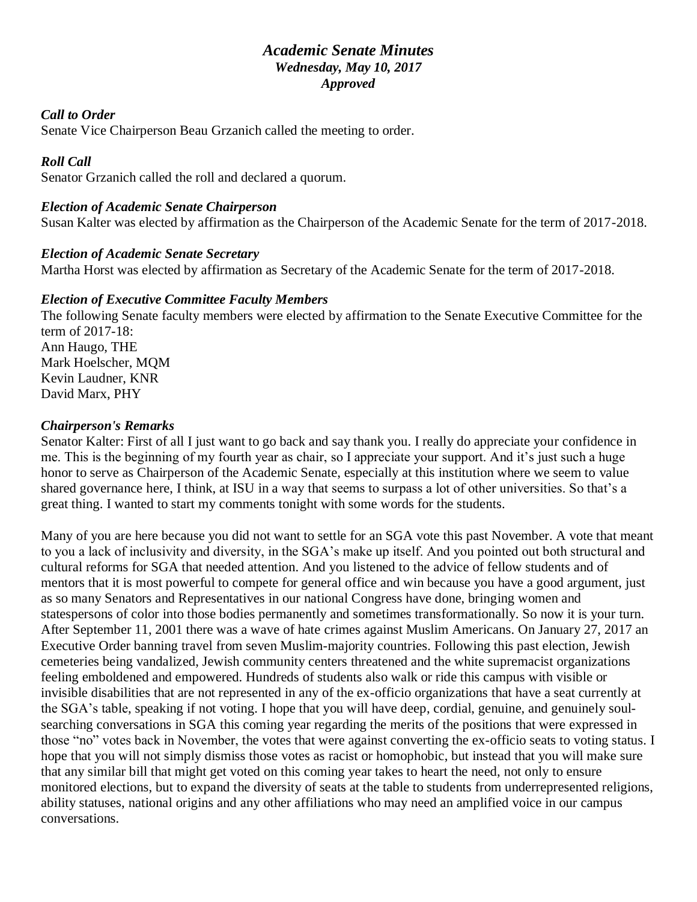## *Academic Senate Minutes Wednesday, May 10, 2017 Approved*

#### *Call to Order*

Senate Vice Chairperson Beau Grzanich called the meeting to order.

## *Roll Call*

Senator Grzanich called the roll and declared a quorum.

#### *Election of Academic Senate Chairperson*

Susan Kalter was elected by affirmation as the Chairperson of the Academic Senate for the term of 2017-2018.

#### *Election of Academic Senate Secretary*

Martha Horst was elected by affirmation as Secretary of the Academic Senate for the term of 2017-2018.

#### *Election of Executive Committee Faculty Members*

The following Senate faculty members were elected by affirmation to the Senate Executive Committee for the term of 2017-18: Ann Haugo, THE Mark Hoelscher, MQM Kevin Laudner, KNR David Marx, PHY

#### *Chairperson's Remarks*

Senator Kalter: First of all I just want to go back and say thank you. I really do appreciate your confidence in me. This is the beginning of my fourth year as chair, so I appreciate your support. And it's just such a huge honor to serve as Chairperson of the Academic Senate, especially at this institution where we seem to value shared governance here, I think, at ISU in a way that seems to surpass a lot of other universities. So that's a great thing. I wanted to start my comments tonight with some words for the students.

Many of you are here because you did not want to settle for an SGA vote this past November. A vote that meant to you a lack of inclusivity and diversity, in the SGA's make up itself. And you pointed out both structural and cultural reforms for SGA that needed attention. And you listened to the advice of fellow students and of mentors that it is most powerful to compete for general office and win because you have a good argument, just as so many Senators and Representatives in our national Congress have done, bringing women and statespersons of color into those bodies permanently and sometimes transformationally. So now it is your turn. After September 11, 2001 there was a wave of hate crimes against Muslim Americans. On January 27, 2017 an Executive Order banning travel from seven Muslim-majority countries. Following this past election, Jewish cemeteries being vandalized, Jewish community centers threatened and the white supremacist organizations feeling emboldened and empowered. Hundreds of students also walk or ride this campus with visible or invisible disabilities that are not represented in any of the ex-officio organizations that have a seat currently at the SGA's table, speaking if not voting. I hope that you will have deep, cordial, genuine, and genuinely soulsearching conversations in SGA this coming year regarding the merits of the positions that were expressed in those "no" votes back in November, the votes that were against converting the ex-officio seats to voting status. I hope that you will not simply dismiss those votes as racist or homophobic, but instead that you will make sure that any similar bill that might get voted on this coming year takes to heart the need, not only to ensure monitored elections, but to expand the diversity of seats at the table to students from underrepresented religions, ability statuses, national origins and any other affiliations who may need an amplified voice in our campus conversations.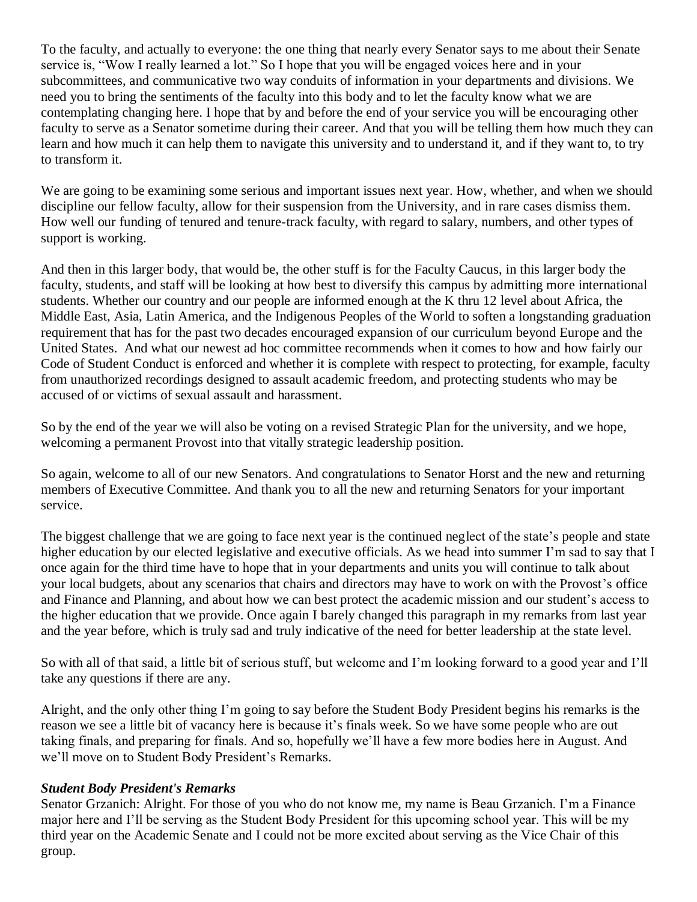To the faculty, and actually to everyone: the one thing that nearly every Senator says to me about their Senate service is, "Wow I really learned a lot." So I hope that you will be engaged voices here and in your subcommittees, and communicative two way conduits of information in your departments and divisions. We need you to bring the sentiments of the faculty into this body and to let the faculty know what we are contemplating changing here. I hope that by and before the end of your service you will be encouraging other faculty to serve as a Senator sometime during their career. And that you will be telling them how much they can learn and how much it can help them to navigate this university and to understand it, and if they want to, to try to transform it.

We are going to be examining some serious and important issues next year. How, whether, and when we should discipline our fellow faculty, allow for their suspension from the University, and in rare cases dismiss them. How well our funding of tenured and tenure-track faculty, with regard to salary, numbers, and other types of support is working.

And then in this larger body, that would be, the other stuff is for the Faculty Caucus, in this larger body the faculty, students, and staff will be looking at how best to diversify this campus by admitting more international students. Whether our country and our people are informed enough at the K thru 12 level about Africa, the Middle East, Asia, Latin America, and the Indigenous Peoples of the World to soften a longstanding graduation requirement that has for the past two decades encouraged expansion of our curriculum beyond Europe and the United States. And what our newest ad hoc committee recommends when it comes to how and how fairly our Code of Student Conduct is enforced and whether it is complete with respect to protecting, for example, faculty from unauthorized recordings designed to assault academic freedom, and protecting students who may be accused of or victims of sexual assault and harassment.

So by the end of the year we will also be voting on a revised Strategic Plan for the university, and we hope, welcoming a permanent Provost into that vitally strategic leadership position.

So again, welcome to all of our new Senators. And congratulations to Senator Horst and the new and returning members of Executive Committee. And thank you to all the new and returning Senators for your important service.

The biggest challenge that we are going to face next year is the continued neglect of the state's people and state higher education by our elected legislative and executive officials. As we head into summer I'm sad to say that I once again for the third time have to hope that in your departments and units you will continue to talk about your local budgets, about any scenarios that chairs and directors may have to work on with the Provost's office and Finance and Planning, and about how we can best protect the academic mission and our student's access to the higher education that we provide. Once again I barely changed this paragraph in my remarks from last year and the year before, which is truly sad and truly indicative of the need for better leadership at the state level.

So with all of that said, a little bit of serious stuff, but welcome and I'm looking forward to a good year and I'll take any questions if there are any.

Alright, and the only other thing I'm going to say before the Student Body President begins his remarks is the reason we see a little bit of vacancy here is because it's finals week. So we have some people who are out taking finals, and preparing for finals. And so, hopefully we'll have a few more bodies here in August. And we'll move on to Student Body President's Remarks.

#### *Student Body President's Remarks*

Senator Grzanich: Alright. For those of you who do not know me, my name is Beau Grzanich. I'm a Finance major here and I'll be serving as the Student Body President for this upcoming school year. This will be my third year on the Academic Senate and I could not be more excited about serving as the Vice Chair of this group.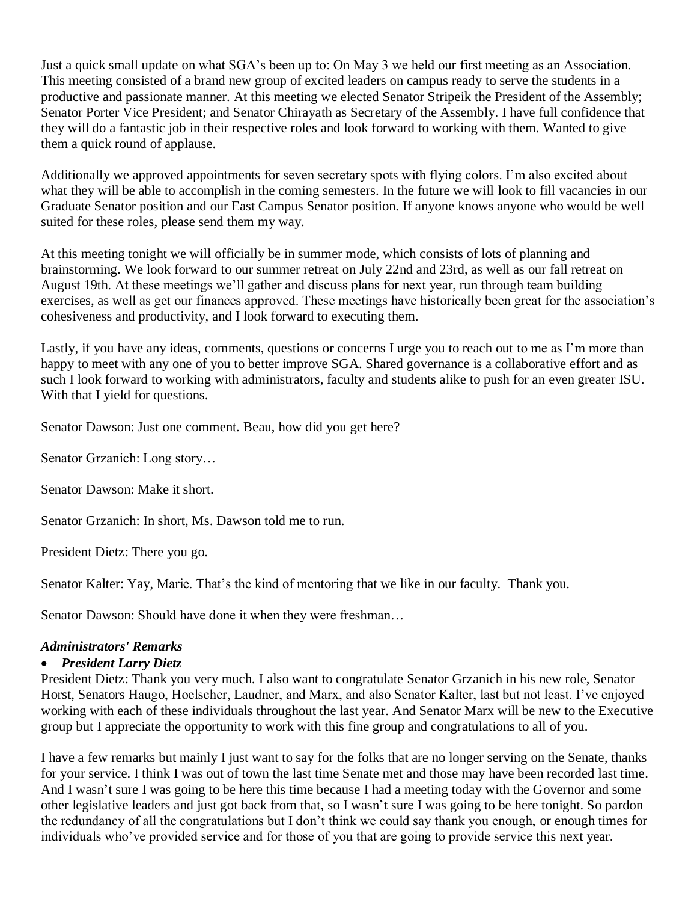Just a quick small update on what SGA's been up to: On May 3 we held our first meeting as an Association. This meeting consisted of a brand new group of excited leaders on campus ready to serve the students in a productive and passionate manner. At this meeting we elected Senator Stripeik the President of the Assembly; Senator Porter Vice President; and Senator Chirayath as Secretary of the Assembly. I have full confidence that they will do a fantastic job in their respective roles and look forward to working with them. Wanted to give them a quick round of applause.

Additionally we approved appointments for seven secretary spots with flying colors. I'm also excited about what they will be able to accomplish in the coming semesters. In the future we will look to fill vacancies in our Graduate Senator position and our East Campus Senator position. If anyone knows anyone who would be well suited for these roles, please send them my way.

At this meeting tonight we will officially be in summer mode, which consists of lots of planning and brainstorming. We look forward to our summer retreat on July 22nd and 23rd, as well as our fall retreat on August 19th. At these meetings we'll gather and discuss plans for next year, run through team building exercises, as well as get our finances approved. These meetings have historically been great for the association's cohesiveness and productivity, and I look forward to executing them.

Lastly, if you have any ideas, comments, questions or concerns I urge you to reach out to me as I'm more than happy to meet with any one of you to better improve SGA. Shared governance is a collaborative effort and as such I look forward to working with administrators, faculty and students alike to push for an even greater ISU. With that I yield for questions.

Senator Dawson: Just one comment. Beau, how did you get here?

Senator Grzanich: Long story…

Senator Dawson: Make it short.

Senator Grzanich: In short, Ms. Dawson told me to run.

President Dietz: There you go.

Senator Kalter: Yay, Marie. That's the kind of mentoring that we like in our faculty. Thank you.

Senator Dawson: Should have done it when they were freshman…

#### *Administrators' Remarks*

#### • *President Larry Dietz*

President Dietz: Thank you very much. I also want to congratulate Senator Grzanich in his new role, Senator Horst, Senators Haugo, Hoelscher, Laudner, and Marx, and also Senator Kalter, last but not least. I've enjoyed working with each of these individuals throughout the last year. And Senator Marx will be new to the Executive group but I appreciate the opportunity to work with this fine group and congratulations to all of you.

I have a few remarks but mainly I just want to say for the folks that are no longer serving on the Senate, thanks for your service. I think I was out of town the last time Senate met and those may have been recorded last time. And I wasn't sure I was going to be here this time because I had a meeting today with the Governor and some other legislative leaders and just got back from that, so I wasn't sure I was going to be here tonight. So pardon the redundancy of all the congratulations but I don't think we could say thank you enough, or enough times for individuals who've provided service and for those of you that are going to provide service this next year.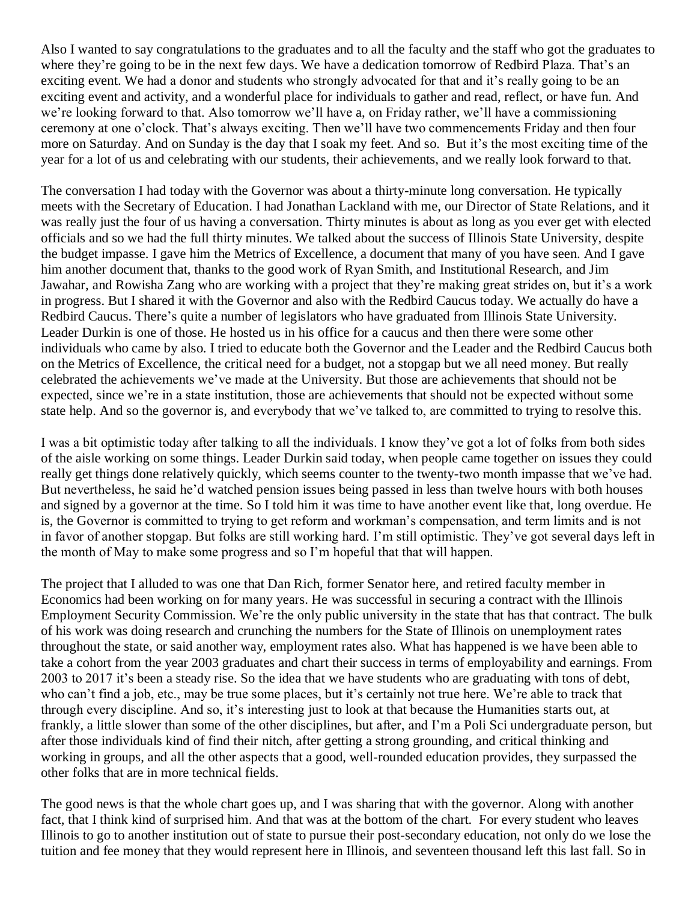Also I wanted to say congratulations to the graduates and to all the faculty and the staff who got the graduates to where they're going to be in the next few days. We have a dedication tomorrow of Redbird Plaza. That's an exciting event. We had a donor and students who strongly advocated for that and it's really going to be an exciting event and activity, and a wonderful place for individuals to gather and read, reflect, or have fun. And we're looking forward to that. Also tomorrow we'll have a, on Friday rather, we'll have a commissioning ceremony at one o'clock. That's always exciting. Then we'll have two commencements Friday and then four more on Saturday. And on Sunday is the day that I soak my feet. And so. But it's the most exciting time of the year for a lot of us and celebrating with our students, their achievements, and we really look forward to that.

The conversation I had today with the Governor was about a thirty-minute long conversation. He typically meets with the Secretary of Education. I had Jonathan Lackland with me, our Director of State Relations, and it was really just the four of us having a conversation. Thirty minutes is about as long as you ever get with elected officials and so we had the full thirty minutes. We talked about the success of Illinois State University, despite the budget impasse. I gave him the Metrics of Excellence, a document that many of you have seen. And I gave him another document that, thanks to the good work of Ryan Smith, and Institutional Research, and Jim Jawahar, and Rowisha Zang who are working with a project that they're making great strides on, but it's a work in progress. But I shared it with the Governor and also with the Redbird Caucus today. We actually do have a Redbird Caucus. There's quite a number of legislators who have graduated from Illinois State University. Leader Durkin is one of those. He hosted us in his office for a caucus and then there were some other individuals who came by also. I tried to educate both the Governor and the Leader and the Redbird Caucus both on the Metrics of Excellence, the critical need for a budget, not a stopgap but we all need money. But really celebrated the achievements we've made at the University. But those are achievements that should not be expected, since we're in a state institution, those are achievements that should not be expected without some state help. And so the governor is, and everybody that we've talked to, are committed to trying to resolve this.

I was a bit optimistic today after talking to all the individuals. I know they've got a lot of folks from both sides of the aisle working on some things. Leader Durkin said today, when people came together on issues they could really get things done relatively quickly, which seems counter to the twenty-two month impasse that we've had. But nevertheless, he said he'd watched pension issues being passed in less than twelve hours with both houses and signed by a governor at the time. So I told him it was time to have another event like that, long overdue. He is, the Governor is committed to trying to get reform and workman's compensation, and term limits and is not in favor of another stopgap. But folks are still working hard. I'm still optimistic. They've got several days left in the month of May to make some progress and so I'm hopeful that that will happen.

The project that I alluded to was one that Dan Rich, former Senator here, and retired faculty member in Economics had been working on for many years. He was successful in securing a contract with the Illinois Employment Security Commission. We're the only public university in the state that has that contract. The bulk of his work was doing research and crunching the numbers for the State of Illinois on unemployment rates throughout the state, or said another way, employment rates also. What has happened is we have been able to take a cohort from the year 2003 graduates and chart their success in terms of employability and earnings. From 2003 to 2017 it's been a steady rise. So the idea that we have students who are graduating with tons of debt, who can't find a job, etc., may be true some places, but it's certainly not true here. We're able to track that through every discipline. And so, it's interesting just to look at that because the Humanities starts out, at frankly, a little slower than some of the other disciplines, but after, and I'm a Poli Sci undergraduate person, but after those individuals kind of find their nitch, after getting a strong grounding, and critical thinking and working in groups, and all the other aspects that a good, well-rounded education provides, they surpassed the other folks that are in more technical fields.

The good news is that the whole chart goes up, and I was sharing that with the governor. Along with another fact, that I think kind of surprised him. And that was at the bottom of the chart. For every student who leaves Illinois to go to another institution out of state to pursue their post-secondary education, not only do we lose the tuition and fee money that they would represent here in Illinois, and seventeen thousand left this last fall. So in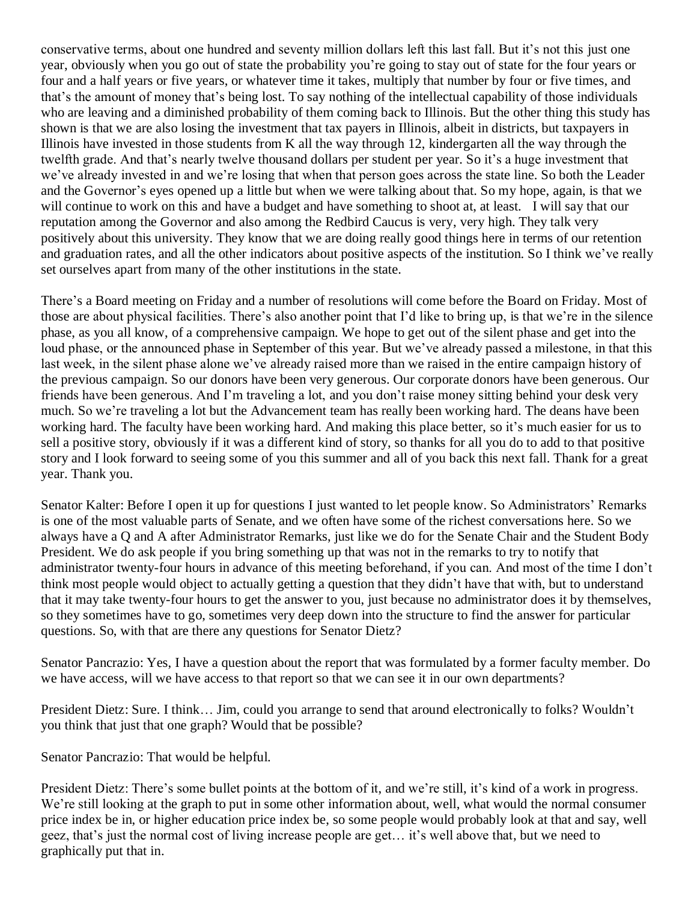conservative terms, about one hundred and seventy million dollars left this last fall. But it's not this just one year, obviously when you go out of state the probability you're going to stay out of state for the four years or four and a half years or five years, or whatever time it takes, multiply that number by four or five times, and that's the amount of money that's being lost. To say nothing of the intellectual capability of those individuals who are leaving and a diminished probability of them coming back to Illinois. But the other thing this study has shown is that we are also losing the investment that tax payers in Illinois, albeit in districts, but taxpayers in Illinois have invested in those students from K all the way through 12, kindergarten all the way through the twelfth grade. And that's nearly twelve thousand dollars per student per year. So it's a huge investment that we've already invested in and we're losing that when that person goes across the state line. So both the Leader and the Governor's eyes opened up a little but when we were talking about that. So my hope, again, is that we will continue to work on this and have a budget and have something to shoot at, at least. I will say that our reputation among the Governor and also among the Redbird Caucus is very, very high. They talk very positively about this university. They know that we are doing really good things here in terms of our retention and graduation rates, and all the other indicators about positive aspects of the institution. So I think we've really set ourselves apart from many of the other institutions in the state.

There's a Board meeting on Friday and a number of resolutions will come before the Board on Friday. Most of those are about physical facilities. There's also another point that I'd like to bring up, is that we're in the silence phase, as you all know, of a comprehensive campaign. We hope to get out of the silent phase and get into the loud phase, or the announced phase in September of this year. But we've already passed a milestone, in that this last week, in the silent phase alone we've already raised more than we raised in the entire campaign history of the previous campaign. So our donors have been very generous. Our corporate donors have been generous. Our friends have been generous. And I'm traveling a lot, and you don't raise money sitting behind your desk very much. So we're traveling a lot but the Advancement team has really been working hard. The deans have been working hard. The faculty have been working hard. And making this place better, so it's much easier for us to sell a positive story, obviously if it was a different kind of story, so thanks for all you do to add to that positive story and I look forward to seeing some of you this summer and all of you back this next fall. Thank for a great year. Thank you.

Senator Kalter: Before I open it up for questions I just wanted to let people know. So Administrators' Remarks is one of the most valuable parts of Senate, and we often have some of the richest conversations here. So we always have a Q and A after Administrator Remarks, just like we do for the Senate Chair and the Student Body President. We do ask people if you bring something up that was not in the remarks to try to notify that administrator twenty-four hours in advance of this meeting beforehand, if you can. And most of the time I don't think most people would object to actually getting a question that they didn't have that with, but to understand that it may take twenty-four hours to get the answer to you, just because no administrator does it by themselves, so they sometimes have to go, sometimes very deep down into the structure to find the answer for particular questions. So, with that are there any questions for Senator Dietz?

Senator Pancrazio: Yes, I have a question about the report that was formulated by a former faculty member. Do we have access, will we have access to that report so that we can see it in our own departments?

President Dietz: Sure. I think… Jim, could you arrange to send that around electronically to folks? Wouldn't you think that just that one graph? Would that be possible?

Senator Pancrazio: That would be helpful.

President Dietz: There's some bullet points at the bottom of it, and we're still, it's kind of a work in progress. We're still looking at the graph to put in some other information about, well, what would the normal consumer price index be in, or higher education price index be, so some people would probably look at that and say, well geez, that's just the normal cost of living increase people are get… it's well above that, but we need to graphically put that in.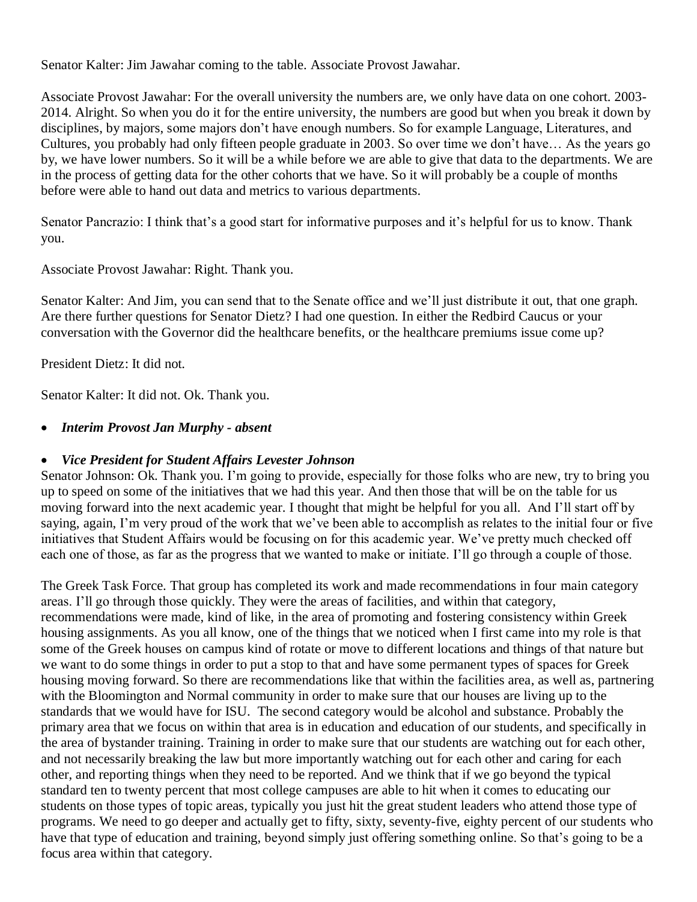Senator Kalter: Jim Jawahar coming to the table. Associate Provost Jawahar.

Associate Provost Jawahar: For the overall university the numbers are, we only have data on one cohort. 2003- 2014. Alright. So when you do it for the entire university, the numbers are good but when you break it down by disciplines, by majors, some majors don't have enough numbers. So for example Language, Literatures, and Cultures, you probably had only fifteen people graduate in 2003. So over time we don't have… As the years go by, we have lower numbers. So it will be a while before we are able to give that data to the departments. We are in the process of getting data for the other cohorts that we have. So it will probably be a couple of months before were able to hand out data and metrics to various departments.

Senator Pancrazio: I think that's a good start for informative purposes and it's helpful for us to know. Thank you.

Associate Provost Jawahar: Right. Thank you.

Senator Kalter: And Jim, you can send that to the Senate office and we'll just distribute it out, that one graph. Are there further questions for Senator Dietz? I had one question. In either the Redbird Caucus or your conversation with the Governor did the healthcare benefits, or the healthcare premiums issue come up?

President Dietz: It did not.

Senator Kalter: It did not. Ok. Thank you.

## • *Interim Provost Jan Murphy - absent*

## • *Vice President for Student Affairs Levester Johnson*

Senator Johnson: Ok. Thank you. I'm going to provide, especially for those folks who are new, try to bring you up to speed on some of the initiatives that we had this year. And then those that will be on the table for us moving forward into the next academic year. I thought that might be helpful for you all. And I'll start off by saying, again, I'm very proud of the work that we've been able to accomplish as relates to the initial four or five initiatives that Student Affairs would be focusing on for this academic year. We've pretty much checked off each one of those, as far as the progress that we wanted to make or initiate. I'll go through a couple of those.

The Greek Task Force. That group has completed its work and made recommendations in four main category areas. I'll go through those quickly. They were the areas of facilities, and within that category, recommendations were made, kind of like, in the area of promoting and fostering consistency within Greek housing assignments. As you all know, one of the things that we noticed when I first came into my role is that some of the Greek houses on campus kind of rotate or move to different locations and things of that nature but we want to do some things in order to put a stop to that and have some permanent types of spaces for Greek housing moving forward. So there are recommendations like that within the facilities area, as well as, partnering with the Bloomington and Normal community in order to make sure that our houses are living up to the standards that we would have for ISU. The second category would be alcohol and substance. Probably the primary area that we focus on within that area is in education and education of our students, and specifically in the area of bystander training. Training in order to make sure that our students are watching out for each other, and not necessarily breaking the law but more importantly watching out for each other and caring for each other, and reporting things when they need to be reported. And we think that if we go beyond the typical standard ten to twenty percent that most college campuses are able to hit when it comes to educating our students on those types of topic areas, typically you just hit the great student leaders who attend those type of programs. We need to go deeper and actually get to fifty, sixty, seventy-five, eighty percent of our students who have that type of education and training, beyond simply just offering something online. So that's going to be a focus area within that category.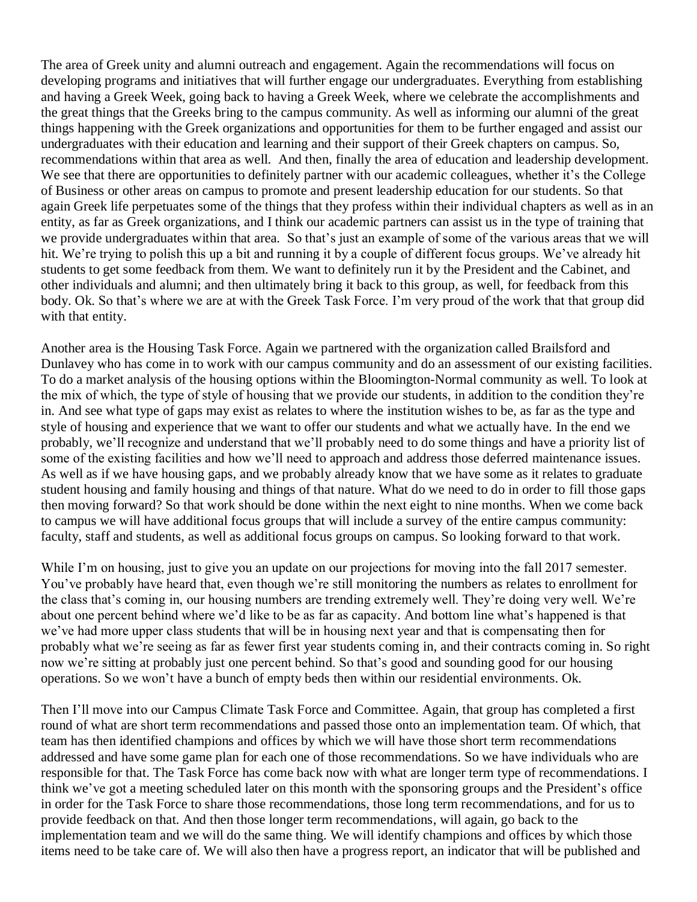The area of Greek unity and alumni outreach and engagement. Again the recommendations will focus on developing programs and initiatives that will further engage our undergraduates. Everything from establishing and having a Greek Week, going back to having a Greek Week, where we celebrate the accomplishments and the great things that the Greeks bring to the campus community. As well as informing our alumni of the great things happening with the Greek organizations and opportunities for them to be further engaged and assist our undergraduates with their education and learning and their support of their Greek chapters on campus. So, recommendations within that area as well. And then, finally the area of education and leadership development. We see that there are opportunities to definitely partner with our academic colleagues, whether it's the College of Business or other areas on campus to promote and present leadership education for our students. So that again Greek life perpetuates some of the things that they profess within their individual chapters as well as in an entity, as far as Greek organizations, and I think our academic partners can assist us in the type of training that we provide undergraduates within that area. So that's just an example of some of the various areas that we will hit. We're trying to polish this up a bit and running it by a couple of different focus groups. We've already hit students to get some feedback from them. We want to definitely run it by the President and the Cabinet, and other individuals and alumni; and then ultimately bring it back to this group, as well, for feedback from this body. Ok. So that's where we are at with the Greek Task Force. I'm very proud of the work that that group did with that entity.

Another area is the Housing Task Force. Again we partnered with the organization called Brailsford and Dunlavey who has come in to work with our campus community and do an assessment of our existing facilities. To do a market analysis of the housing options within the Bloomington-Normal community as well. To look at the mix of which, the type of style of housing that we provide our students, in addition to the condition they're in. And see what type of gaps may exist as relates to where the institution wishes to be, as far as the type and style of housing and experience that we want to offer our students and what we actually have. In the end we probably, we'll recognize and understand that we'll probably need to do some things and have a priority list of some of the existing facilities and how we'll need to approach and address those deferred maintenance issues. As well as if we have housing gaps, and we probably already know that we have some as it relates to graduate student housing and family housing and things of that nature. What do we need to do in order to fill those gaps then moving forward? So that work should be done within the next eight to nine months. When we come back to campus we will have additional focus groups that will include a survey of the entire campus community: faculty, staff and students, as well as additional focus groups on campus. So looking forward to that work.

While I'm on housing, just to give you an update on our projections for moving into the fall 2017 semester. You've probably have heard that, even though we're still monitoring the numbers as relates to enrollment for the class that's coming in, our housing numbers are trending extremely well. They're doing very well. We're about one percent behind where we'd like to be as far as capacity. And bottom line what's happened is that we've had more upper class students that will be in housing next year and that is compensating then for probably what we're seeing as far as fewer first year students coming in, and their contracts coming in. So right now we're sitting at probably just one percent behind. So that's good and sounding good for our housing operations. So we won't have a bunch of empty beds then within our residential environments. Ok.

Then I'll move into our Campus Climate Task Force and Committee. Again, that group has completed a first round of what are short term recommendations and passed those onto an implementation team. Of which, that team has then identified champions and offices by which we will have those short term recommendations addressed and have some game plan for each one of those recommendations. So we have individuals who are responsible for that. The Task Force has come back now with what are longer term type of recommendations. I think we've got a meeting scheduled later on this month with the sponsoring groups and the President's office in order for the Task Force to share those recommendations, those long term recommendations, and for us to provide feedback on that. And then those longer term recommendations, will again, go back to the implementation team and we will do the same thing. We will identify champions and offices by which those items need to be take care of. We will also then have a progress report, an indicator that will be published and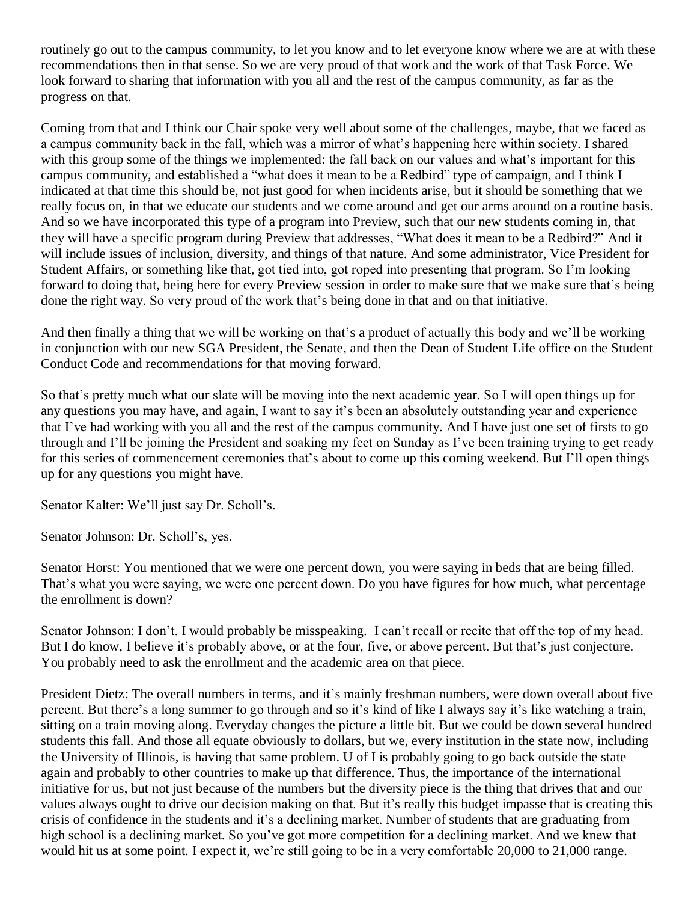routinely go out to the campus community, to let you know and to let everyone know where we are at with these recommendations then in that sense. So we are very proud of that work and the work of that Task Force. We look forward to sharing that information with you all and the rest of the campus community, as far as the progress on that.

Coming from that and I think our Chair spoke very well about some of the challenges, maybe, that we faced as a campus community back in the fall, which was a mirror of what's happening here within society. I shared with this group some of the things we implemented: the fall back on our values and what's important for this campus community, and established a "what does it mean to be a Redbird" type of campaign, and I think I indicated at that time this should be, not just good for when incidents arise, but it should be something that we really focus on, in that we educate our students and we come around and get our arms around on a routine basis. And so we have incorporated this type of a program into Preview, such that our new students coming in, that they will have a specific program during Preview that addresses, "What does it mean to be a Redbird?" And it will include issues of inclusion, diversity, and things of that nature. And some administrator, Vice President for Student Affairs, or something like that, got tied into, got roped into presenting that program. So I'm looking forward to doing that, being here for every Preview session in order to make sure that we make sure that's being done the right way. So very proud of the work that's being done in that and on that initiative.

And then finally a thing that we will be working on that's a product of actually this body and we'll be working in conjunction with our new SGA President, the Senate, and then the Dean of Student Life office on the Student Conduct Code and recommendations for that moving forward.

So that's pretty much what our slate will be moving into the next academic year. So I will open things up for any questions you may have, and again, I want to say it's been an absolutely outstanding year and experience that I've had working with you all and the rest of the campus community. And I have just one set of firsts to go through and I'll be joining the President and soaking my feet on Sunday as I've been training trying to get ready for this series of commencement ceremonies that's about to come up this coming weekend. But I'll open things up for any questions you might have.

Senator Kalter: We'll just say Dr. Scholl's.

Senator Johnson: Dr. Scholl's, yes.

Senator Horst: You mentioned that we were one percent down, you were saying in beds that are being filled. That's what you were saying, we were one percent down. Do you have figures for how much, what percentage the enrollment is down?

Senator Johnson: I don't. I would probably be misspeaking. I can't recall or recite that off the top of my head. But I do know, I believe it's probably above, or at the four, five, or above percent. But that's just conjecture. You probably need to ask the enrollment and the academic area on that piece.

President Dietz: The overall numbers in terms, and it's mainly freshman numbers, were down overall about five percent. But there's a long summer to go through and so it's kind of like I always say it's like watching a train, sitting on a train moving along. Everyday changes the picture a little bit. But we could be down several hundred students this fall. And those all equate obviously to dollars, but we, every institution in the state now, including the University of Illinois, is having that same problem. U of I is probably going to go back outside the state again and probably to other countries to make up that difference. Thus, the importance of the international initiative for us, but not just because of the numbers but the diversity piece is the thing that drives that and our values always ought to drive our decision making on that. But it's really this budget impasse that is creating this crisis of confidence in the students and it's a declining market. Number of students that are graduating from high school is a declining market. So you've got more competition for a declining market. And we knew that would hit us at some point. I expect it, we're still going to be in a very comfortable 20,000 to 21,000 range.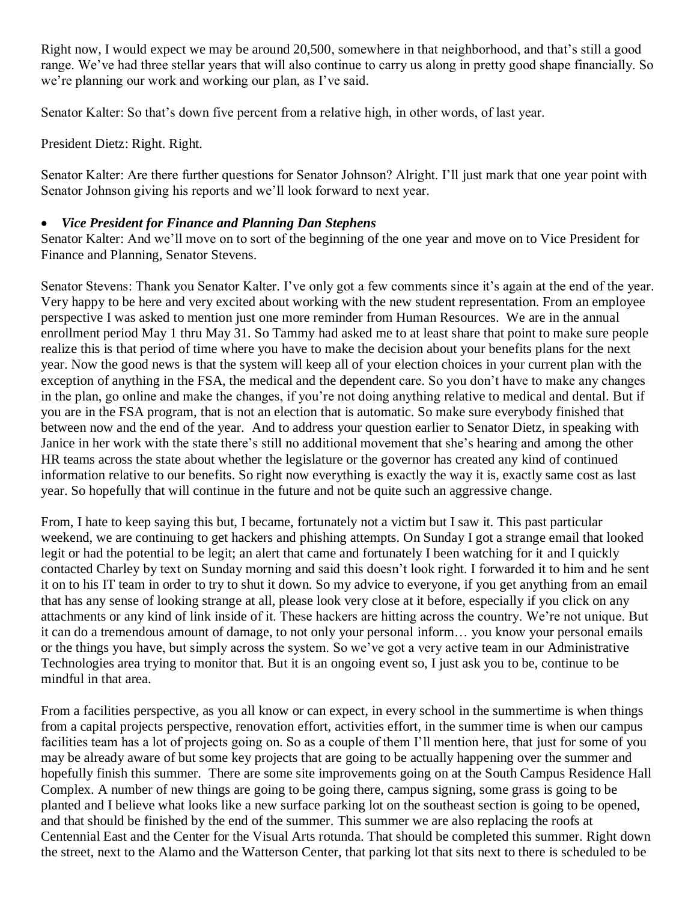Right now, I would expect we may be around 20,500, somewhere in that neighborhood, and that's still a good range. We've had three stellar years that will also continue to carry us along in pretty good shape financially. So we're planning our work and working our plan, as I've said.

Senator Kalter: So that's down five percent from a relative high, in other words, of last year.

President Dietz: Right. Right.

Senator Kalter: Are there further questions for Senator Johnson? Alright. I'll just mark that one year point with Senator Johnson giving his reports and we'll look forward to next year.

## • *Vice President for Finance and Planning Dan Stephens*

Senator Kalter: And we'll move on to sort of the beginning of the one year and move on to Vice President for Finance and Planning, Senator Stevens.

Senator Stevens: Thank you Senator Kalter. I've only got a few comments since it's again at the end of the year. Very happy to be here and very excited about working with the new student representation. From an employee perspective I was asked to mention just one more reminder from Human Resources. We are in the annual enrollment period May 1 thru May 31. So Tammy had asked me to at least share that point to make sure people realize this is that period of time where you have to make the decision about your benefits plans for the next year. Now the good news is that the system will keep all of your election choices in your current plan with the exception of anything in the FSA, the medical and the dependent care. So you don't have to make any changes in the plan, go online and make the changes, if you're not doing anything relative to medical and dental. But if you are in the FSA program, that is not an election that is automatic. So make sure everybody finished that between now and the end of the year. And to address your question earlier to Senator Dietz, in speaking with Janice in her work with the state there's still no additional movement that she's hearing and among the other HR teams across the state about whether the legislature or the governor has created any kind of continued information relative to our benefits. So right now everything is exactly the way it is, exactly same cost as last year. So hopefully that will continue in the future and not be quite such an aggressive change.

From, I hate to keep saying this but, I became, fortunately not a victim but I saw it. This past particular weekend, we are continuing to get hackers and phishing attempts. On Sunday I got a strange email that looked legit or had the potential to be legit; an alert that came and fortunately I been watching for it and I quickly contacted Charley by text on Sunday morning and said this doesn't look right. I forwarded it to him and he sent it on to his IT team in order to try to shut it down. So my advice to everyone, if you get anything from an email that has any sense of looking strange at all, please look very close at it before, especially if you click on any attachments or any kind of link inside of it. These hackers are hitting across the country. We're not unique. But it can do a tremendous amount of damage, to not only your personal inform… you know your personal emails or the things you have, but simply across the system. So we've got a very active team in our Administrative Technologies area trying to monitor that. But it is an ongoing event so, I just ask you to be, continue to be mindful in that area.

From a facilities perspective, as you all know or can expect, in every school in the summertime is when things from a capital projects perspective, renovation effort, activities effort, in the summer time is when our campus facilities team has a lot of projects going on. So as a couple of them I'll mention here, that just for some of you may be already aware of but some key projects that are going to be actually happening over the summer and hopefully finish this summer. There are some site improvements going on at the South Campus Residence Hall Complex. A number of new things are going to be going there, campus signing, some grass is going to be planted and I believe what looks like a new surface parking lot on the southeast section is going to be opened, and that should be finished by the end of the summer. This summer we are also replacing the roofs at Centennial East and the Center for the Visual Arts rotunda. That should be completed this summer. Right down the street, next to the Alamo and the Watterson Center, that parking lot that sits next to there is scheduled to be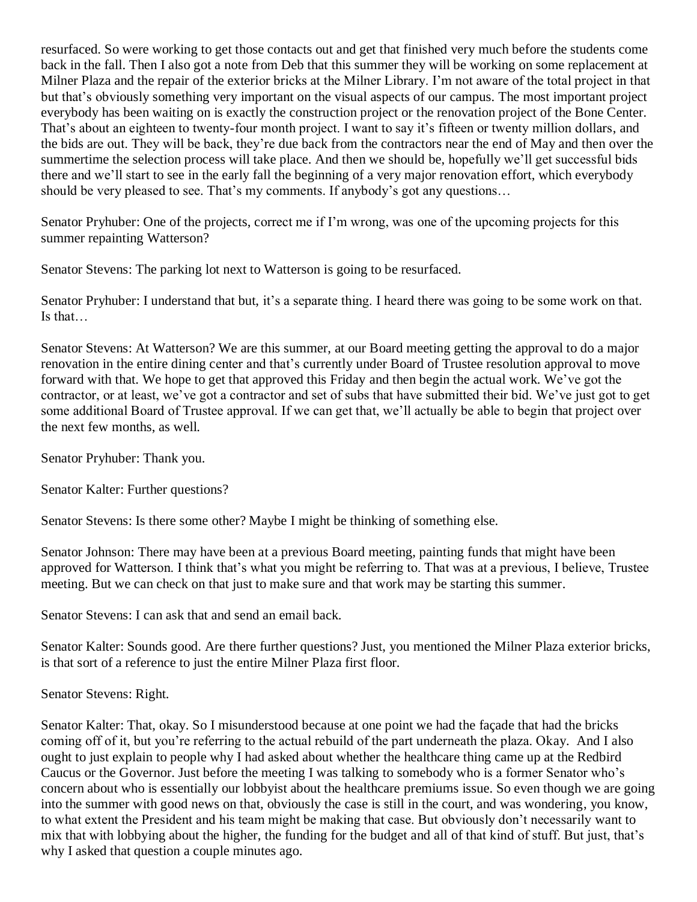resurfaced. So were working to get those contacts out and get that finished very much before the students come back in the fall. Then I also got a note from Deb that this summer they will be working on some replacement at Milner Plaza and the repair of the exterior bricks at the Milner Library. I'm not aware of the total project in that but that's obviously something very important on the visual aspects of our campus. The most important project everybody has been waiting on is exactly the construction project or the renovation project of the Bone Center. That's about an eighteen to twenty-four month project. I want to say it's fifteen or twenty million dollars, and the bids are out. They will be back, they're due back from the contractors near the end of May and then over the summertime the selection process will take place. And then we should be, hopefully we'll get successful bids there and we'll start to see in the early fall the beginning of a very major renovation effort, which everybody should be very pleased to see. That's my comments. If anybody's got any questions…

Senator Pryhuber: One of the projects, correct me if I'm wrong, was one of the upcoming projects for this summer repainting Watterson?

Senator Stevens: The parking lot next to Watterson is going to be resurfaced.

Senator Pryhuber: I understand that but, it's a separate thing. I heard there was going to be some work on that. Is that…

Senator Stevens: At Watterson? We are this summer, at our Board meeting getting the approval to do a major renovation in the entire dining center and that's currently under Board of Trustee resolution approval to move forward with that. We hope to get that approved this Friday and then begin the actual work. We've got the contractor, or at least, we've got a contractor and set of subs that have submitted their bid. We've just got to get some additional Board of Trustee approval. If we can get that, we'll actually be able to begin that project over the next few months, as well.

Senator Pryhuber: Thank you.

Senator Kalter: Further questions?

Senator Stevens: Is there some other? Maybe I might be thinking of something else.

Senator Johnson: There may have been at a previous Board meeting, painting funds that might have been approved for Watterson. I think that's what you might be referring to. That was at a previous, I believe, Trustee meeting. But we can check on that just to make sure and that work may be starting this summer.

Senator Stevens: I can ask that and send an email back.

Senator Kalter: Sounds good. Are there further questions? Just, you mentioned the Milner Plaza exterior bricks, is that sort of a reference to just the entire Milner Plaza first floor.

Senator Stevens: Right.

Senator Kalter: That, okay. So I misunderstood because at one point we had the façade that had the bricks coming off of it, but you're referring to the actual rebuild of the part underneath the plaza. Okay. And I also ought to just explain to people why I had asked about whether the healthcare thing came up at the Redbird Caucus or the Governor. Just before the meeting I was talking to somebody who is a former Senator who's concern about who is essentially our lobbyist about the healthcare premiums issue. So even though we are going into the summer with good news on that, obviously the case is still in the court, and was wondering, you know, to what extent the President and his team might be making that case. But obviously don't necessarily want to mix that with lobbying about the higher, the funding for the budget and all of that kind of stuff. But just, that's why I asked that question a couple minutes ago.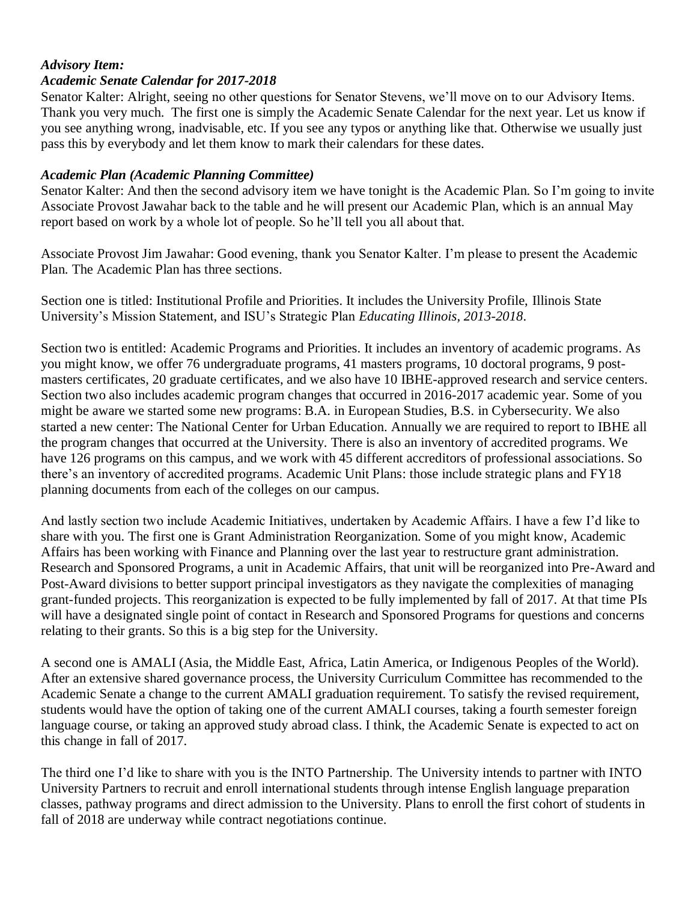#### *Advisory Item:*

#### *Academic Senate Calendar for 2017-2018*

Senator Kalter: Alright, seeing no other questions for Senator Stevens, we'll move on to our Advisory Items. Thank you very much. The first one is simply the Academic Senate Calendar for the next year. Let us know if you see anything wrong, inadvisable, etc. If you see any typos or anything like that. Otherwise we usually just pass this by everybody and let them know to mark their calendars for these dates.

#### *Academic Plan (Academic Planning Committee)*

Senator Kalter: And then the second advisory item we have tonight is the Academic Plan. So I'm going to invite Associate Provost Jawahar back to the table and he will present our Academic Plan, which is an annual May report based on work by a whole lot of people. So he'll tell you all about that.

Associate Provost Jim Jawahar: Good evening, thank you Senator Kalter. I'm please to present the Academic Plan. The Academic Plan has three sections.

Section one is titled: Institutional Profile and Priorities. It includes the University Profile, Illinois State University's Mission Statement, and ISU's Strategic Plan *Educating Illinois, 2013-2018*.

Section two is entitled: Academic Programs and Priorities. It includes an inventory of academic programs. As you might know, we offer 76 undergraduate programs, 41 masters programs, 10 doctoral programs, 9 postmasters certificates, 20 graduate certificates, and we also have 10 IBHE-approved research and service centers. Section two also includes academic program changes that occurred in 2016-2017 academic year. Some of you might be aware we started some new programs: B.A. in European Studies, B.S. in Cybersecurity. We also started a new center: The National Center for Urban Education. Annually we are required to report to IBHE all the program changes that occurred at the University. There is also an inventory of accredited programs. We have 126 programs on this campus, and we work with 45 different accreditors of professional associations. So there's an inventory of accredited programs. Academic Unit Plans: those include strategic plans and FY18 planning documents from each of the colleges on our campus.

And lastly section two include Academic Initiatives, undertaken by Academic Affairs. I have a few I'd like to share with you. The first one is Grant Administration Reorganization. Some of you might know, Academic Affairs has been working with Finance and Planning over the last year to restructure grant administration. Research and Sponsored Programs, a unit in Academic Affairs, that unit will be reorganized into Pre-Award and Post-Award divisions to better support principal investigators as they navigate the complexities of managing grant-funded projects. This reorganization is expected to be fully implemented by fall of 2017. At that time PIs will have a designated single point of contact in Research and Sponsored Programs for questions and concerns relating to their grants. So this is a big step for the University.

A second one is AMALI (Asia, the Middle East, Africa, Latin America, or Indigenous Peoples of the World). After an extensive shared governance process, the University Curriculum Committee has recommended to the Academic Senate a change to the current AMALI graduation requirement. To satisfy the revised requirement, students would have the option of taking one of the current AMALI courses, taking a fourth semester foreign language course, or taking an approved study abroad class. I think, the Academic Senate is expected to act on this change in fall of 2017.

The third one I'd like to share with you is the INTO Partnership. The University intends to partner with INTO University Partners to recruit and enroll international students through intense English language preparation classes, pathway programs and direct admission to the University. Plans to enroll the first cohort of students in fall of 2018 are underway while contract negotiations continue.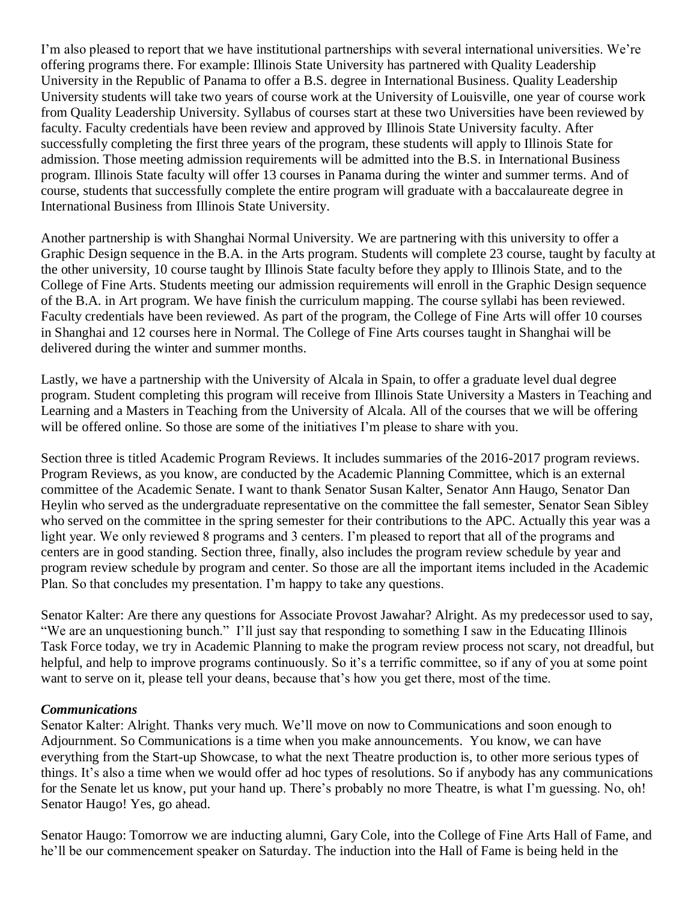I'm also pleased to report that we have institutional partnerships with several international universities. We're offering programs there. For example: Illinois State University has partnered with Quality Leadership University in the Republic of Panama to offer a B.S. degree in International Business. Quality Leadership University students will take two years of course work at the University of Louisville, one year of course work from Quality Leadership University. Syllabus of courses start at these two Universities have been reviewed by faculty. Faculty credentials have been review and approved by Illinois State University faculty. After successfully completing the first three years of the program, these students will apply to Illinois State for admission. Those meeting admission requirements will be admitted into the B.S. in International Business program. Illinois State faculty will offer 13 courses in Panama during the winter and summer terms. And of course, students that successfully complete the entire program will graduate with a baccalaureate degree in International Business from Illinois State University.

Another partnership is with Shanghai Normal University. We are partnering with this university to offer a Graphic Design sequence in the B.A. in the Arts program. Students will complete 23 course, taught by faculty at the other university, 10 course taught by Illinois State faculty before they apply to Illinois State, and to the College of Fine Arts. Students meeting our admission requirements will enroll in the Graphic Design sequence of the B.A. in Art program. We have finish the curriculum mapping. The course syllabi has been reviewed. Faculty credentials have been reviewed. As part of the program, the College of Fine Arts will offer 10 courses in Shanghai and 12 courses here in Normal. The College of Fine Arts courses taught in Shanghai will be delivered during the winter and summer months.

Lastly, we have a partnership with the University of Alcala in Spain, to offer a graduate level dual degree program. Student completing this program will receive from Illinois State University a Masters in Teaching and Learning and a Masters in Teaching from the University of Alcala. All of the courses that we will be offering will be offered online. So those are some of the initiatives I'm please to share with you.

Section three is titled Academic Program Reviews. It includes summaries of the 2016-2017 program reviews. Program Reviews, as you know, are conducted by the Academic Planning Committee, which is an external committee of the Academic Senate. I want to thank Senator Susan Kalter, Senator Ann Haugo, Senator Dan Heylin who served as the undergraduate representative on the committee the fall semester, Senator Sean Sibley who served on the committee in the spring semester for their contributions to the APC. Actually this year was a light year. We only reviewed 8 programs and 3 centers. I'm pleased to report that all of the programs and centers are in good standing. Section three, finally, also includes the program review schedule by year and program review schedule by program and center. So those are all the important items included in the Academic Plan. So that concludes my presentation. I'm happy to take any questions.

Senator Kalter: Are there any questions for Associate Provost Jawahar? Alright. As my predecessor used to say, "We are an unquestioning bunch." I'll just say that responding to something I saw in the Educating Illinois Task Force today, we try in Academic Planning to make the program review process not scary, not dreadful, but helpful, and help to improve programs continuously. So it's a terrific committee, so if any of you at some point want to serve on it, please tell your deans, because that's how you get there, most of the time.

#### *Communications*

Senator Kalter: Alright. Thanks very much. We'll move on now to Communications and soon enough to Adjournment. So Communications is a time when you make announcements. You know, we can have everything from the Start-up Showcase, to what the next Theatre production is, to other more serious types of things. It's also a time when we would offer ad hoc types of resolutions. So if anybody has any communications for the Senate let us know, put your hand up. There's probably no more Theatre, is what I'm guessing. No, oh! Senator Haugo! Yes, go ahead.

Senator Haugo: Tomorrow we are inducting alumni, Gary Cole, into the College of Fine Arts Hall of Fame, and he'll be our commencement speaker on Saturday. The induction into the Hall of Fame is being held in the